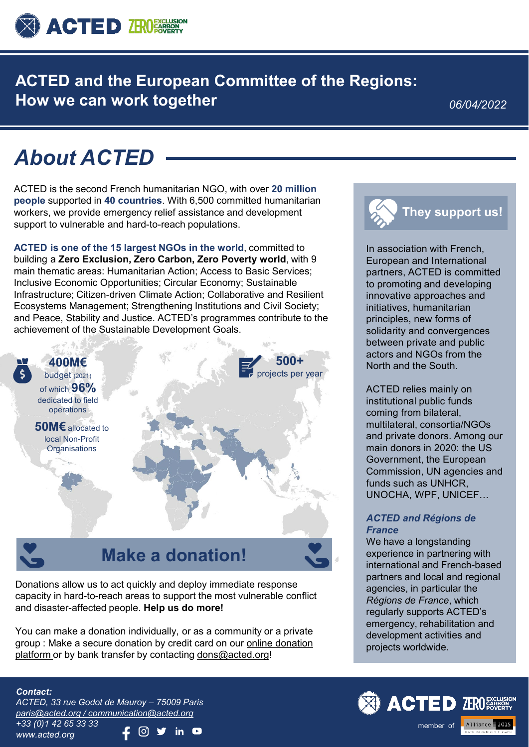

**ACTED and the European Committee of the Regions: How we can work together**

*06/04/2022*

# *About ACTED*

ACTED is the second French humanitarian NGO, with over **20 million people** supported in **40 countries**. With 6,500 committed humanitarian workers, we provide emergency relief assistance and development support to vulnerable and hard-to-reach populations.

**ACTED is one of the 15 largest NGOs in the world**, committed to building a **Zero Exclusion, Zero Carbon, Zero Poverty world**, with 9 main thematic areas: Humanitarian Action; Access to Basic Services; Inclusive Economic Opportunities; Circular Economy; Sustainable Infrastructure; Citizen-driven Climate Action; Collaborative and Resilient Ecosystems Management; Strengthening Institutions and Civil Society; and Peace, Stability and Justice. ACTED's programmes contribute to the achievement of the Sustainable Development Goals.



# **Make a donation!**

Donations allow us to act quickly and deploy immediate response capacity in hard-to-reach areas to support the most vulnerable conflict and disaster-affected people. **Help us do more!** 

You can make a donation individually, or as a community or a private [group : Make a secure donation by credit card on our online donation](https://acted.iraiser.eu/don/%7Emy-donation) platform or by bank transfer by contacting [dons@acted.org](mailto:dons@acted.org)!



In association with French, European and International partners, ACTED is committed to promoting and developing innovative approaches and initiatives, humanitarian principles, new forms of solidarity and convergences between private and public actors and NGOs from the North and the South.

ACTED relies mainly on institutional public funds coming from bilateral, multilateral, consortia/NGOs and private donors. Among our main donors in 2020: the US Government, the European Commission, UN agencies and funds such as UNHCR. UNOCHA, WPF, UNICEF…

#### *ACTED and Régions de France*

We have a longstanding experience in partnering with international and French-based partners and local and regional agencies, in particular the *Régions de France*, which regularly supports ACTED's emergency, rehabilitation and development activities and projects worldwide.

### *Contact:*

*ACTED, 33 rue Godot de Mauroy – 75009 Paris [paris@acted.org / communication@acted.org](mailto:communication@acted.org) +33 (0)1 42 65 33 33* in  $\bullet$ *www.acted.org*